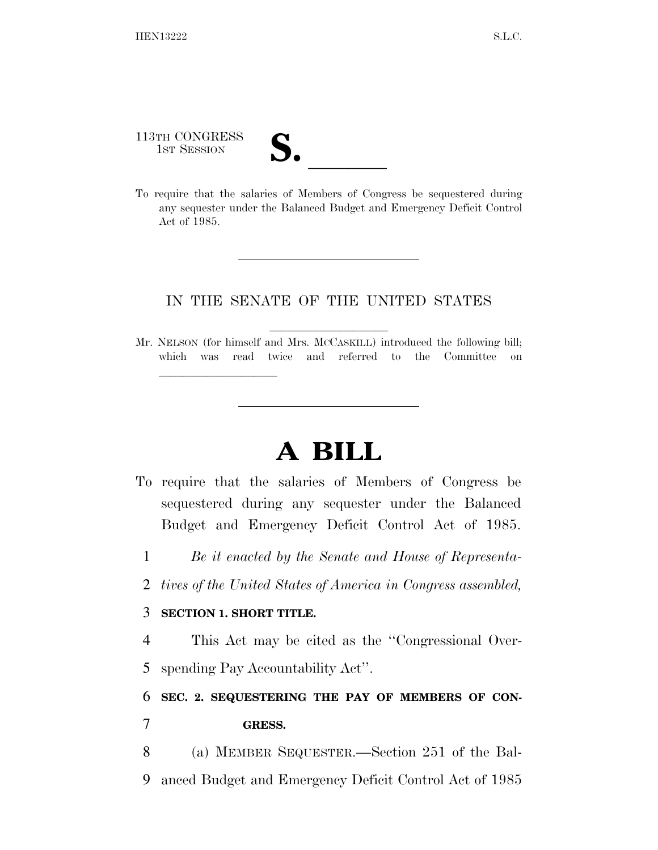113TH CONGRESS

113TH CONGRESS<br>1st SESSION<br>To require that the salaries of Members of Congress be sequestered during any sequester under the Balanced Budget and Emergency Deficit Control Act of 1985.

## IN THE SENATE OF THE UNITED STATES

Mr. NELSON (for himself and Mrs. McCASKILL) introduced the following bill; which was read twice and referred to the Committee on

## **A BILL**

- To require that the salaries of Members of Congress be sequestered during any sequester under the Balanced Budget and Emergency Deficit Control Act of 1985.
	- 1 *Be it enacted by the Senate and House of Representa-*
	- 2 *tives of the United States of America in Congress assembled,*

## 3 **SECTION 1. SHORT TITLE.**

lle and a second control of the second control of the second control of the second control of the second control of the second control of the second control of the second control of the second control of the second control

4 This Act may be cited as the ''Congressional Over-5 spending Pay Accountability Act''.

## 6 **SEC. 2. SEQUESTERING THE PAY OF MEMBERS OF CON-**

- 7 **GRESS.**
- 8 (a) MEMBER SEQUESTER.—Section 251 of the Bal-9 anced Budget and Emergency Deficit Control Act of 1985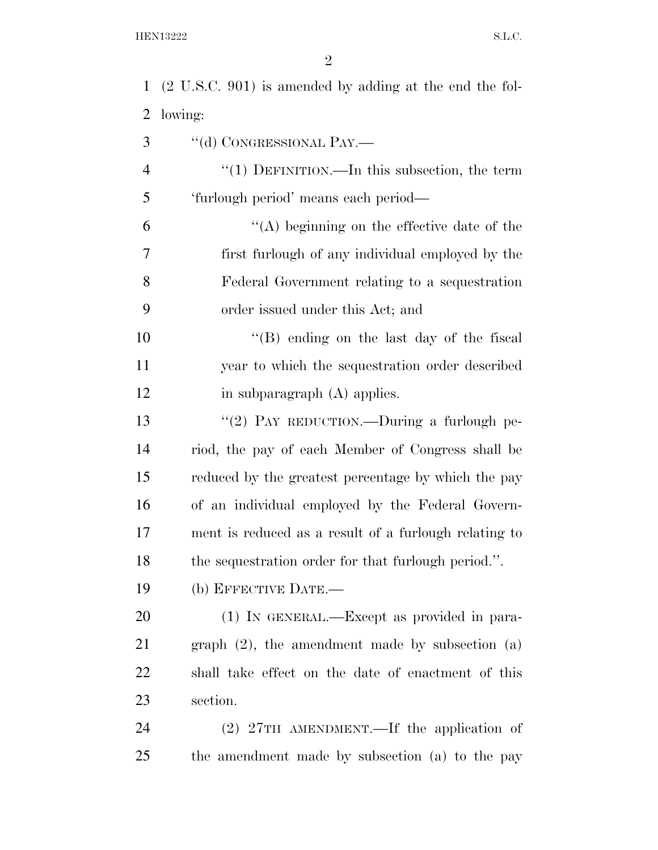| $\mathbf{1}$   | $(2 U.S.C. 901)$ is amended by adding at the end the fol- |
|----------------|-----------------------------------------------------------|
| 2              | lowing:                                                   |
| 3              | "(d) CONGRESSIONAL PAY.—                                  |
| $\overline{4}$ | " $(1)$ DEFINITION.—In this subsection, the term          |
| 5              | 'furlough period' means each period—                      |
| 6              | "(A) beginning on the effective date of the               |
| 7              | first furlough of any individual employed by the          |
| 8              | Federal Government relating to a sequestration            |
| 9              | order issued under this Act; and                          |
| 10             | $\lq\lq (B)$ ending on the last day of the fiscal         |
| 11             | year to which the sequestration order described           |
| 12             | in subparagraph (A) applies.                              |
| 13             | "(2) PAY REDUCTION.—During a furlough pe-                 |
| 14             | riod, the pay of each Member of Congress shall be         |
| 15             | reduced by the greatest percentage by which the pay       |
| 16             | of an individual employed by the Federal Govern-          |
| 17             | ment is reduced as a result of a furlough relating to     |
| 18             | the sequestration order for that furlough period.".       |
| 19             | (b) EFFECTIVE DATE.—                                      |
| 20             | (1) IN GENERAL.—Except as provided in para-               |
| 21             | graph $(2)$ , the amendment made by subsection $(a)$      |
| 22             | shall take effect on the date of enactment of this        |
| 23             | section.                                                  |
| 24             | (2) 27TH AMENDMENT.—If the application of                 |

the amendment made by subsection (a) to the pay